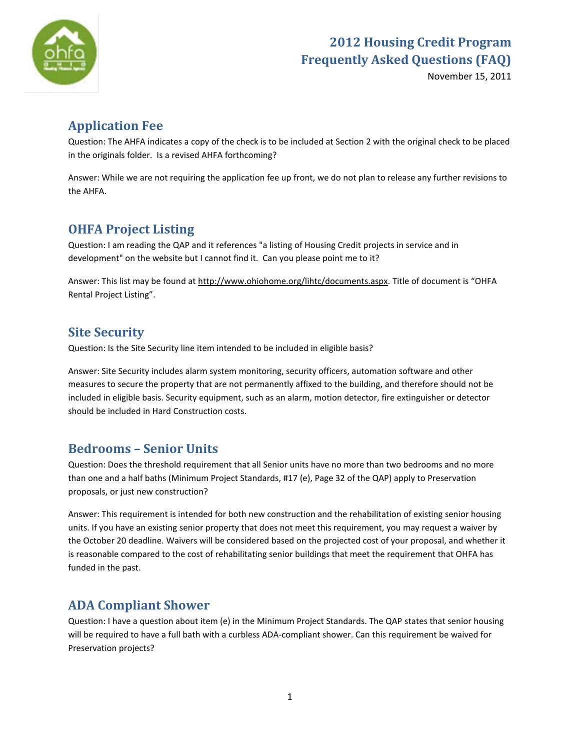

November 15, 2011

## **Application Fee**

Question: The AHFA indicates a copy of the check is to be included at Section 2 with the original check to be placed in the originals folder. Is a revised AHFA forthcoming?

Answer: While we are not requiring the application fee up front, we do not plan to release any further revisions to the AHFA.

## **OHFA Project Listing**

Question: I am reading the QAP and it references "a listing of Housing Credit projects in service and in development" on the website but I cannot find it. Can you please point me to it?

Answer: This list may be found at [http://www.ohiohome.org/lihtc/documents.aspx.](http://www.ohiohome.org/lihtc/documents.aspx) Title of document is "OHFA Rental Project Listing".

## **Site Security**

Question: Is the Site Security line item intended to be included in eligible basis?

Answer: Site Security includes alarm system monitoring, security officers, automation software and other measures to secure the property that are not permanently affixed to the building, and therefore should not be included in eligible basis. Security equipment, such as an alarm, motion detector, fire extinguisher or detector should be included in Hard Construction costs.

#### **Bedrooms – Senior Units**

Question: Does the threshold requirement that all Senior units have no more than two bedrooms and no more than one and a half baths (Minimum Project Standards, #17 (e), Page 32 of the QAP) apply to Preservation proposals, or just new construction?

Answer: This requirement is intended for both new construction and the rehabilitation of existing senior housing units. If you have an existing senior property that does not meet this requirement, you may request a waiver by the October 20 deadline. Waivers will be considered based on the projected cost of your proposal, and whether it is reasonable compared to the cost of rehabilitating senior buildings that meet the requirement that OHFA has funded in the past.

## **ADA Compliant Shower**

Question: I have a question about item (e) in the Minimum Project Standards. The QAP states that senior housing will be required to have a full bath with a curbless ADA-compliant shower. Can this requirement be waived for Preservation projects?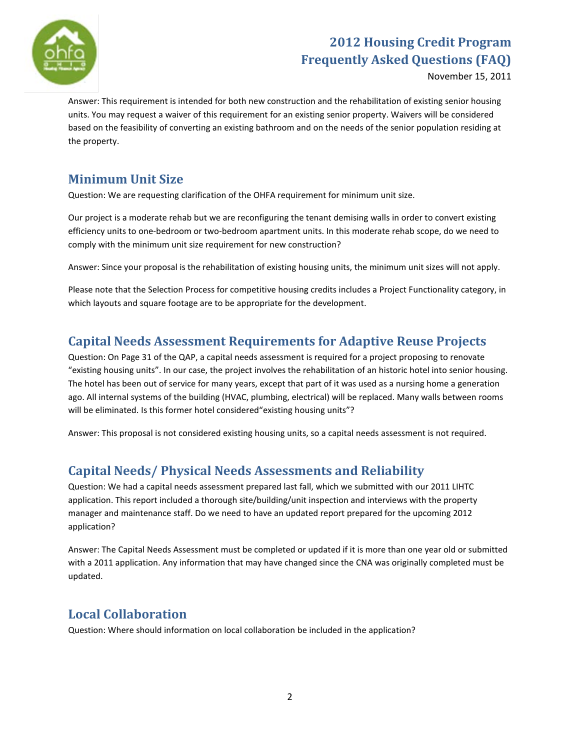

November 15, 2011

Answer: This requirement is intended for both new construction and the rehabilitation of existing senior housing units. You may request a waiver of this requirement for an existing senior property. Waivers will be considered based on the feasibility of converting an existing bathroom and on the needs of the senior population residing at the property.

#### **Minimum Unit Size**

Question: We are requesting clarification of the OHFA requirement for minimum unit size.

Our project is a moderate rehab but we are reconfiguring the tenant demising walls in order to convert existing efficiency units to one-bedroom or two-bedroom apartment units. In this moderate rehab scope, do we need to comply with the minimum unit size requirement for new construction?

Answer: Since your proposal is the rehabilitation of existing housing units, the minimum unit sizes will not apply.

Please note that the Selection Process for competitive housing credits includes a Project Functionality category, in which layouts and square footage are to be appropriate for the development.

#### **Capital Needs Assessment Requirements for Adaptive Reuse Projects**

Question: On Page 31 of the QAP, a capital needs assessment is required for a project proposing to renovate "existing housing units". In our case, the project involves the rehabilitation of an historic hotel into senior housing. The hotel has been out of service for many years, except that part of it was used as a nursing home a generation ago. All internal systems of the building (HVAC, plumbing, electrical) will be replaced. Many walls between rooms will be eliminated. Is this former hotel considered "existing housing units"?

Answer: This proposal is not considered existing housing units, so a capital needs assessment is not required.

## **Capital Needs/ Physical Needs Assessments and Reliability**

Question: We had a capital needs assessment prepared last fall, which we submitted with our 2011 LIHTC application. This report included a thorough site/building/unit inspection and interviews with the property manager and maintenance staff. Do we need to have an updated report prepared for the upcoming 2012 application?

Answer: The Capital Needs Assessment must be completed or updated if it is more than one year old or submitted with a 2011 application. Any information that may have changed since the CNA was originally completed must be updated.

## **Local Collaboration**

Question: Where should information on local collaboration be included in the application?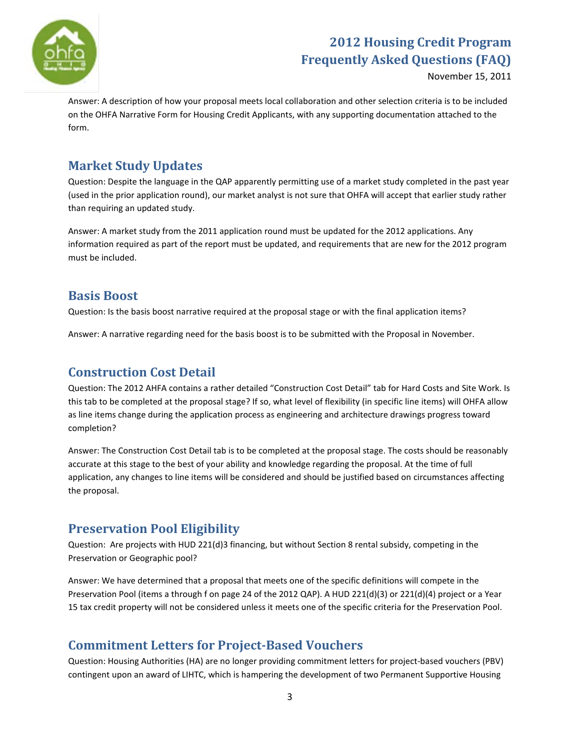

November 15, 2011

Answer: A description of how your proposal meets local collaboration and other selection criteria is to be included on the OHFA Narrative Form for Housing Credit Applicants, with any supporting documentation attached to the form.

#### **Market Study Updates**

Question: Despite the language in the QAP apparently permitting use of a market study completed in the past year (used in the prior application round), our market analyst is not sure that OHFA will accept that earlier study rather than requiring an updated study.

Answer: A market study from the 2011 application round must be updated for the 2012 applications. Any information required as part of the report must be updated, and requirements that are new for the 2012 program must be included.

#### **Basis Boost**

Question: Is the basis boost narrative required at the proposal stage or with the final application items?

Answer: A narrative regarding need for the basis boost is to be submitted with the Proposal in November.

#### **Construction Cost Detail**

Question: The 2012 AHFA contains a rather detailed "Construction Cost Detail" tab for Hard Costs and Site Work. Is this tab to be completed at the proposal stage? If so, what level of flexibility (in specific line items) will OHFA allow as line items change during the application process as engineering and architecture drawings progress toward completion?

Answer: The Construction Cost Detail tab is to be completed at the proposal stage. The costs should be reasonably accurate at this stage to the best of your ability and knowledge regarding the proposal. At the time of full application, any changes to line items will be considered and should be justified based on circumstances affecting the proposal.

## **Preservation Pool Eligibility**

Question: Are projects with HUD 221(d)3 financing, but without Section 8 rental subsidy, competing in the Preservation or Geographic pool?

Answer: We have determined that a proposal that meets one of the specific definitions will compete in the Preservation Pool (items a through f on page 24 of the 2012 QAP). A HUD 221(d)(3) or 221(d)(4) project or a Year 15 tax credit property will not be considered unless it meets one of the specific criteria for the Preservation Pool.

#### **Commitment Letters for Project-Based Vouchers**

Question: Housing Authorities (HA) are no longer providing commitment letters for project-based vouchers (PBV) contingent upon an award of LIHTC, which is hampering the development of two Permanent Supportive Housing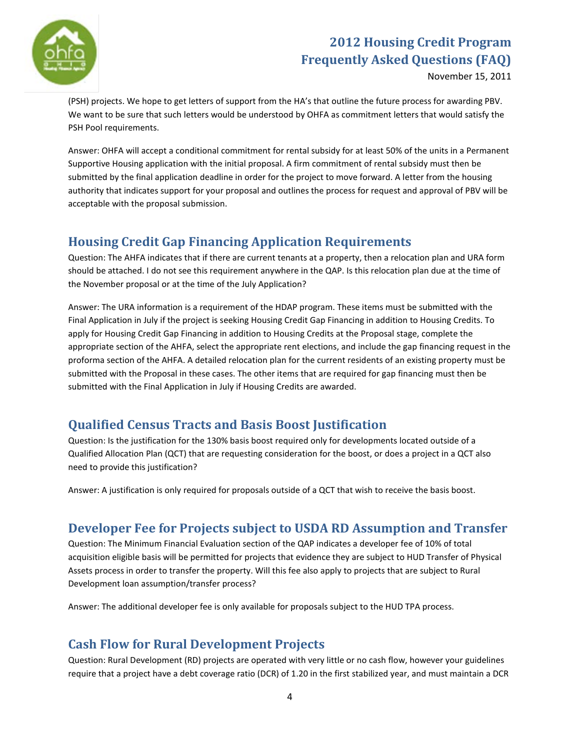

November 15, 2011

(PSH) projects. We hope to get letters of support from the HA's that outline the future process for awarding PBV. We want to be sure that such letters would be understood by OHFA as commitment letters that would satisfy the PSH Pool requirements.

Answer: OHFA will accept a conditional commitment for rental subsidy for at least 50% of the units in a Permanent Supportive Housing application with the initial proposal. A firm commitment of rental subsidy must then be submitted by the final application deadline in order for the project to move forward. A letter from the housing authority that indicates support for your proposal and outlines the process for request and approval of PBV will be acceptable with the proposal submission.

#### **Housing Credit Gap Financing Application Requirements**

Question: The AHFA indicates that if there are current tenants at a property, then a relocation plan and URA form should be attached. I do not see this requirement anywhere in the QAP. Is this relocation plan due at the time of the November proposal or at the time of the July Application?

Answer: The URA information is a requirement of the HDAP program. These items must be submitted with the Final Application in July if the project is seeking Housing Credit Gap Financing in addition to Housing Credits. To apply for Housing Credit Gap Financing in addition to Housing Credits at the Proposal stage, complete the appropriate section of the AHFA, select the appropriate rent elections, and include the gap financing request in the proforma section of the AHFA. A detailed relocation plan for the current residents of an existing property must be submitted with the Proposal in these cases. The other items that are required for gap financing must then be submitted with the Final Application in July if Housing Credits are awarded.

## **Qualified Census Tracts and Basis Boost Justification**

Question: Is the justification for the 130% basis boost required only for developments located outside of a Qualified Allocation Plan (QCT) that are requesting consideration for the boost, or does a project in a QCT also need to provide this justification?

Answer: A justification is only required for proposals outside of a QCT that wish to receive the basis boost.

#### **Developer Fee for Projects subject to USDA RD Assumption and Transfer**

Question: The Minimum Financial Evaluation section of the QAP indicates a developer fee of 10% of total acquisition eligible basis will be permitted for projects that evidence they are subject to HUD Transfer of Physical Assets process in order to transfer the property. Will this fee also apply to projects that are subject to Rural Development loan assumption/transfer process?

Answer: The additional developer fee is only available for proposals subject to the HUD TPA process.

## **Cash Flow for Rural Development Projects**

Question: Rural Development (RD) projects are operated with very little or no cash flow, however your guidelines require that a project have a debt coverage ratio (DCR) of 1.20 in the first stabilized year, and must maintain a DCR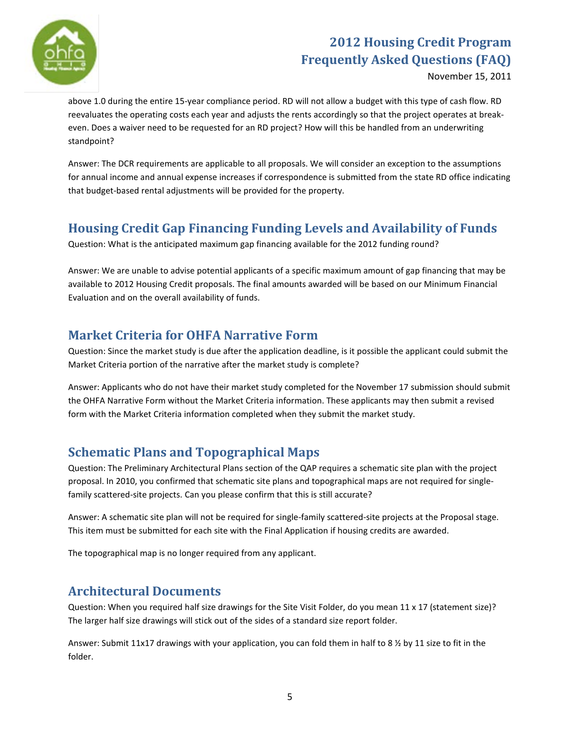

November 15, 2011

above 1.0 during the entire 15-year compliance period. RD will not allow a budget with this type of cash flow. RD reevaluates the operating costs each year and adjusts the rents accordingly so that the project operates at breakeven. Does a waiver need to be requested for an RD project? How will this be handled from an underwriting standpoint?

Answer: The DCR requirements are applicable to all proposals. We will consider an exception to the assumptions for annual income and annual expense increases if correspondence is submitted from the state RD office indicating that budget-based rental adjustments will be provided for the property.

## **Housing Credit Gap Financing Funding Levels and Availability of Funds**

Question: What is the anticipated maximum gap financing available for the 2012 funding round?

Answer: We are unable to advise potential applicants of a specific maximum amount of gap financing that may be available to 2012 Housing Credit proposals. The final amounts awarded will be based on our Minimum Financial Evaluation and on the overall availability of funds.

#### **Market Criteria for OHFA Narrative Form**

Question: Since the market study is due after the application deadline, is it possible the applicant could submit the Market Criteria portion of the narrative after the market study is complete?

Answer: Applicants who do not have their market study completed for the November 17 submission should submit the OHFA Narrative Form without the Market Criteria information. These applicants may then submit a revised form with the Market Criteria information completed when they submit the market study.

## **Schematic Plans and Topographical Maps**

Question: The Preliminary Architectural Plans section of the QAP requires a schematic site plan with the project proposal. In 2010, you confirmed that schematic site plans and topographical maps are not required for singlefamily scattered-site projects. Can you please confirm that this is still accurate?

Answer: A schematic site plan will not be required for single-family scattered-site projects at the Proposal stage. This item must be submitted for each site with the Final Application if housing credits are awarded.

The topographical map is no longer required from any applicant.

#### **Architectural Documents**

Question: When you required half size drawings for the Site Visit Folder, do you mean 11 x 17 (statement size)? The larger half size drawings will stick out of the sides of a standard size report folder.

Answer: Submit 11x17 drawings with your application, you can fold them in half to 8  $\frac{1}{2}$  by 11 size to fit in the folder.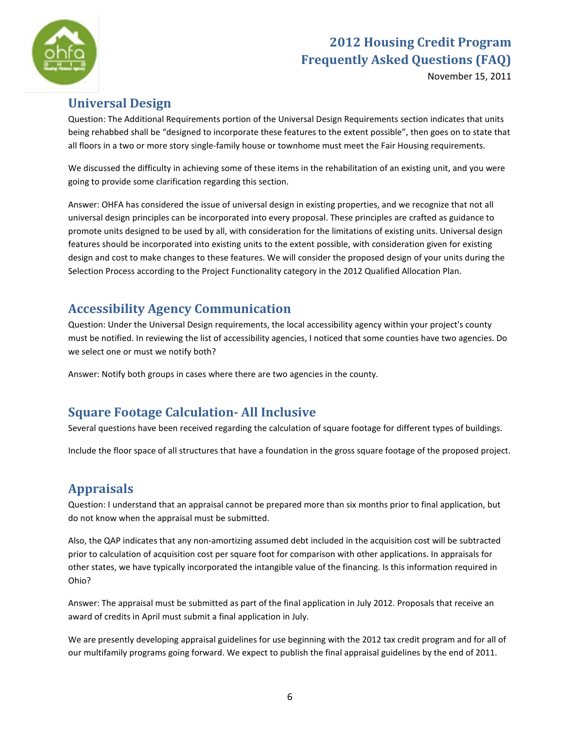

November 15, 2011

#### **Universal Design**

Question: The Additional Requirements portion of the Universal Design Requirements section indicates that units being rehabbed shall be "designed to incorporate these features to the extent possible", then goes on to state that all floors in a two or more story single-family house or townhome must meet the Fair Housing requirements.

We discussed the difficulty in achieving some of these items in the rehabilitation of an existing unit, and you were going to provide some clarification regarding this section.

Answer: OHFA has considered the issue of universal design in existing properties, and we recognize that not all universal design principles can be incorporated into every proposal. These principles are crafted as guidance to promote units designed to be used by all, with consideration for the limitations of existing units. Universal design features should be incorporated into existing units to the extent possible, with consideration given for existing design and cost to make changes to these features. We will consider the proposed design of your units during the Selection Process according to the Project Functionality category in the 2012 Qualified Allocation Plan.

## **Accessibility Agency Communication**

Question: Under the Universal Design requirements, the local accessibility agency within your project's county must be notified. In reviewing the list of accessibility agencies, I noticed that some counties have two agencies. Do we select one or must we notify both?

Answer: Notify both groups in cases where there are two agencies in the county.

## **Square Footage Calculation- All Inclusive**

Several questions have been received regarding the calculation of square footage for different types of buildings.

Include the floor space of all structures that have a foundation in the gross square footage of the proposed project.

## **Appraisals**

Question: I understand that an appraisal cannot be prepared more than six months prior to final application, but do not know when the appraisal must be submitted.

Also, the QAP indicates that any non-amortizing assumed debt included in the acquisition cost will be subtracted prior to calculation of acquisition cost per square foot for comparison with other applications. In appraisals for other states, we have typically incorporated the intangible value of the financing. Is this information required in Ohio?

Answer: The appraisal must be submitted as part of the final application in July 2012. Proposals that receive an award of credits in April must submit a final application in July.

We are presently developing appraisal guidelines for use beginning with the 2012 tax credit program and for all of our multifamily programs going forward. We expect to publish the final appraisal guidelines by the end of 2011.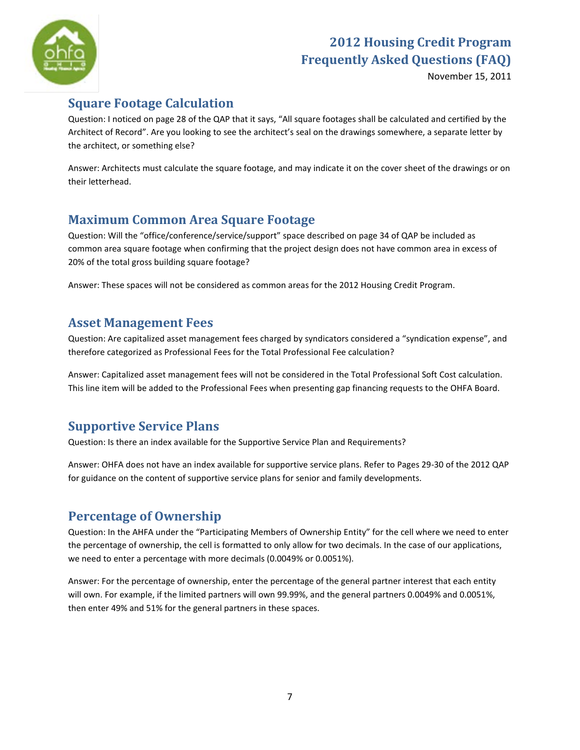

November 15, 2011

## **Square Footage Calculation**

Question: I noticed on page 28 of the QAP that it says, "All square footages shall be calculated and certified by the Architect of Record". Are you looking to see the architect's seal on the drawings somewhere, a separate letter by the architect, or something else?

Answer: Architects must calculate the square footage, and may indicate it on the cover sheet of the drawings or on their letterhead.

## **Maximum Common Area Square Footage**

Question: Will the "office/conference/service/support" space described on page 34 of QAP be included as common area square footage when confirming that the project design does not have common area in excess of 20% of the total gross building square footage?

Answer: These spaces will not be considered as common areas for the 2012 Housing Credit Program.

#### **Asset Management Fees**

Question: Are capitalized asset management fees charged by syndicators considered a "syndication expense", and therefore categorized as Professional Fees for the Total Professional Fee calculation?

Answer: Capitalized asset management fees will not be considered in the Total Professional Soft Cost calculation. This line item will be added to the Professional Fees when presenting gap financing requests to the OHFA Board.

## **Supportive Service Plans**

Question: Is there an index available for the Supportive Service Plan and Requirements?

Answer: OHFA does not have an index available for supportive service plans. Refer to Pages 29-30 of the 2012 QAP for guidance on the content of supportive service plans for senior and family developments.

## **Percentage of Ownership**

Question: In the AHFA under the "Participating Members of Ownership Entity" for the cell where we need to enter the percentage of ownership, the cell is formatted to only allow for two decimals. In the case of our applications, we need to enter a percentage with more decimals (0.0049% or 0.0051%).

Answer: For the percentage of ownership, enter the percentage of the general partner interest that each entity will own. For example, if the limited partners will own 99.99%, and the general partners 0.0049% and 0.0051%, then enter 49% and 51% for the general partners in these spaces.